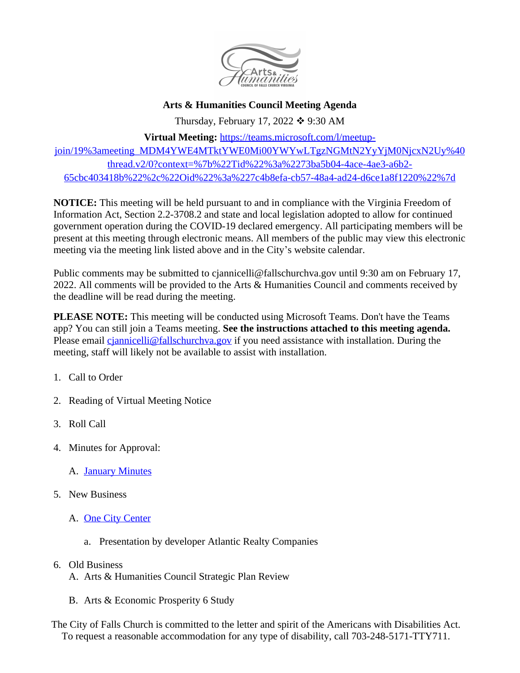

## **Arts & Humanities Council Meeting Agenda**

Thursday, February 17, 2022  $\div$  9:30 AM

**Virtual Meeting:** [https://teams.microsoft.com/l/meetup-](https://teams.microsoft.com/l/meetup-join/19%3ameeting_MDM4YWE4MTktYWE0Mi00YWYwLTgzNGMtN2YyYjM0NjcxN2Uy%40thread.v2/0?context=%7b%22Tid%22%3a%2273ba5b04-4ace-4ae3-a6b2-65cbc403418b%22%2c%22Oid%22%3a%227c4b8efa-cb57-48a4-ad24-d6ce1a8f1220%22%7d)

join/19%3ameeting\_MDM4YWE4MTktYWE0Mi00YWYwLTgzNGMtN2YyYjM0NjcxN2Uy%40 thread.v2/0?context=%7b%22Tid%22%3a%2273ba5b04-4ace-4ae3-a6b2- 65cbc403418b%22%2c%22Oid%22%3a%227c4b8efa-cb57-48a4-ad24-d6ce1a8f1220%22%7d

**NOTICE:** This meeting will be held pursuant to and in compliance with the Virginia Freedom of Information Act, Section 2.2-3708.2 and state and local legislation adopted to allow for continued government operation during the COVID-19 declared emergency. All participating members will be present at this meeting through electronic means. All members of the public may view this electronic meeting via the meeting link listed above and in the City's website calendar.

Public comments may be submitted to cjannicelli@fallschurchva.gov until 9:30 am on February 17, 2022. All comments will be provided to the Arts & Humanities Council and comments received by the deadline will be read during the meeting.

**PLEASE NOTE:** This meeting will be conducted using Microsoft Teams. Don't have the Teams app? You can still join a Teams meeting. **See the instructions attached to this meeting agenda.**  Please email [cjannicelli@fallschurchva.gov](mailto:cjannicelli@fallschurchva.gov) if you need assistance with installation. During the meeting, staff will likely not be available to assist with installation.

- 1. Call to Order
- 2. Reading of Virtual Meeting Notice
- 3. Roll Call
- 4. Minutes for Approval:
	- A. [January Minutes](https://www.fallschurchva.gov/AgendaCenter/ViewFile/Minutes/_01202022-1973)
- 5. [New Business](https://www.fallschurchva.gov/AgendaCenter/ViewFile/Minutes/_01202022-1973)
	- A. [One City Center](https://www.fallschurchva.gov/2075/One-City-Center)
		- a. Presentation by developer Atlantic Realty Companies
- 6. Old Business
	- A. Arts & Humanities Council Strategic Plan Review
	- B. Arts & Economic Prosperity 6 Study

The City of Falls Church is committed to the letter and spirit of the Americans with Disabilities Act. To request a reasonable accommodation for any type of disability, call 703-248-5171-TTY711.